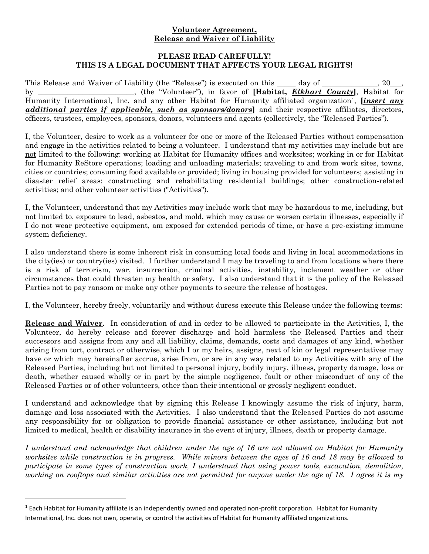## **Volunteer Agreement, Release and Waiver of Liability**

## **PLEASE READ CAREFULLY! THIS IS A LEGAL DOCUMENT THAT AFFECTS YOUR LEGAL RIGHTS!**

This Release and Waiver of Liability (the "Release") is executed on this \_\_\_\_ day of \_\_\_\_\_\_\_\_\_\_\_, 20\_\_, by \_\_\_\_\_\_\_\_\_\_\_\_\_\_\_\_\_\_\_\_\_\_\_\_\_\_, (the "Volunteer"), in favor of **[Habitat,** *Elkhart County***]**, Habitat for Humanity International, Inc. and any other Habitat for Humanity affiliated organization<sup>1</sup>, *[insert any additional parties if applicable, such as sponsors/donors***]** and their respective affiliates, directors, officers, trustees, employees, sponsors, donors, volunteers and agents (collectively, the "Released Parties").

I, the Volunteer, desire to work as a volunteer for one or more of the Released Parties without compensation and engage in the activities related to being a volunteer. I understand that my activities may include but are not limited to the following: working at Habitat for Humanity offices and worksites; working in or for Habitat for Humanity ReStore operations; loading and unloading materials; traveling to and from work sites, towns, cities or countries; consuming food available or provided; living in housing provided for volunteers; assisting in disaster relief areas; constructing and rehabilitating residential buildings; other construction-related activities; and other volunteer activities ("Activities").

I, the Volunteer, understand that my Activities may include work that may be hazardous to me, including, but not limited to, exposure to lead, asbestos, and mold, which may cause or worsen certain illnesses, especially if I do not wear protective equipment, am exposed for extended periods of time, or have a pre-existing immune system deficiency.

I also understand there is some inherent risk in consuming local foods and living in local accommodations in the city(ies) or country(ies) visited. I further understand I may be traveling to and from locations where there is a risk of terrorism, war, insurrection, criminal activities, instability, inclement weather or other circumstances that could threaten my health or safety. I also understand that it is the policy of the Released Parties not to pay ransom or make any other payments to secure the release of hostages.

I, the Volunteer, hereby freely, voluntarily and without duress execute this Release under the following terms:

**Release and Waiver.** In consideration of and in order to be allowed to participate in the Activities, I, the Volunteer, do hereby release and forever discharge and hold harmless the Released Parties and their successors and assigns from any and all liability, claims, demands, costs and damages of any kind, whether arising from tort, contract or otherwise, which I or my heirs, assigns, next of kin or legal representatives may have or which may hereinafter accrue, arise from, or are in any way related to my Activities with any of the Released Parties, including but not limited to personal injury, bodily injury, illness, property damage, loss or death, whether caused wholly or in part by the simple negligence, fault or other misconduct of any of the Released Parties or of other volunteers, other than their intentional or grossly negligent conduct.

I understand and acknowledge that by signing this Release I knowingly assume the risk of injury, harm, damage and loss associated with the Activities. I also understand that the Released Parties do not assume any responsibility for or obligation to provide financial assistance or other assistance, including but not limited to medical, health or disability insurance in the event of injury, illness, death or property damage.

*I understand and acknowledge that children under the age of 16 are not allowed on Habitat for Humanity worksites while construction is in progress. While minors between the ages of 16 and 18 may be allowed to participate in some types of construction work, I understand that using power tools, excavation, demolition, working on rooftops and similar activities are not permitted for anyone under the age of 18. I agree it is my* 

 $\overline{\phantom{a}}$ 

<sup>1</sup> Each Habitat for Humanity affiliate is an independently owned and operated non-profit corporation. Habitat for Humanity International, Inc. does not own, operate, or control the activities of Habitat for Humanity affiliated organizations.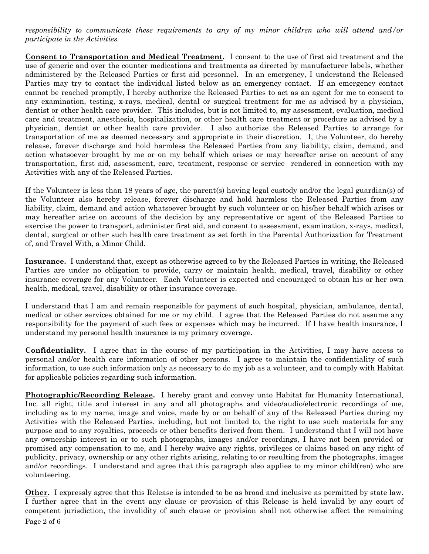## *responsibility to communicate these requirements to any of my minor children who will attend and/or participate in the Activities.*

**Consent to Transportation and Medical Treatment.** I consent to the use of first aid treatment and the use of generic and over the counter medications and treatments as directed by manufacturer labels, whether administered by the Released Parties or first aid personnel. In an emergency, I understand the Released Parties may try to contact the individual listed below as an emergency contact. If an emergency contact cannot be reached promptly, I hereby authorize the Released Parties to act as an agent for me to consent to any examination, testing, x-rays, medical, dental or surgical treatment for me as advised by a physician, dentist or other health care provider. This includes, but is not limited to, my assessment, evaluation, medical care and treatment, anesthesia, hospitalization, or other health care treatment or procedure as advised by a physician, dentist or other health care provider. I also authorize the Released Parties to arrange for transportation of me as deemed necessary and appropriate in their discretion. I, the Volunteer, do hereby release, forever discharge and hold harmless the Released Parties from any liability, claim, demand, and action whatsoever brought by me or on my behalf which arises or may hereafter arise on account of any transportation, first aid, assessment, care, treatment, response or service rendered in connection with my Activities with any of the Released Parties.

If the Volunteer is less than 18 years of age, the parent(s) having legal custody and/or the legal guardian(s) of the Volunteer also hereby release, forever discharge and hold harmless the Released Parties from any liability, claim, demand and action whatsoever brought by such volunteer or on his/her behalf which arises or may hereafter arise on account of the decision by any representative or agent of the Released Parties to exercise the power to transport, administer first aid, and consent to assessment, examination, x-rays, medical, dental, surgical or other such health care treatment as set forth in the Parental Authorization for Treatment of, and Travel With, a Minor Child.

**Insurance.** I understand that, except as otherwise agreed to by the Released Parties in writing, the Released Parties are under no obligation to provide, carry or maintain health, medical, travel, disability or other insurance coverage for any Volunteer. Each Volunteer is expected and encouraged to obtain his or her own health, medical, travel, disability or other insurance coverage.

I understand that I am and remain responsible for payment of such hospital, physician, ambulance, dental, medical or other services obtained for me or my child. I agree that the Released Parties do not assume any responsibility for the payment of such fees or expenses which may be incurred. If I have health insurance, I understand my personal health insurance is my primary coverage.

**Confidentiality.** I agree that in the course of my participation in the Activities, I may have access to personal and/or health care information of other persons. I agree to maintain the confidentiality of such information, to use such information only as necessary to do my job as a volunteer, and to comply with Habitat for applicable policies regarding such information.

**Photographic/Recording Release.** I hereby grant and convey unto Habitat for Humanity International, Inc. all right, title and interest in any and all photographs and video/audio/electronic recordings of me, including as to my name, image and voice, made by or on behalf of any of the Released Parties during my Activities with the Released Parties, including, but not limited to, the right to use such materials for any purpose and to any royalties, proceeds or other benefits derived from them. I understand that I will not have any ownership interest in or to such photographs, images and/or recordings, I have not been provided or promised any compensation to me, and I hereby waive any rights, privileges or claims based on any right of publicity, privacy, ownership or any other rights arising, relating to or resulting from the photographs, images and/or recordings. I understand and agree that this paragraph also applies to my minor child(ren) who are volunteering.

Page 2 of 6 **Other.** I expressly agree that this Release is intended to be as broad and inclusive as permitted by state law. I further agree that in the event any clause or provision of this Release is held invalid by any court of competent jurisdiction, the invalidity of such clause or provision shall not otherwise affect the remaining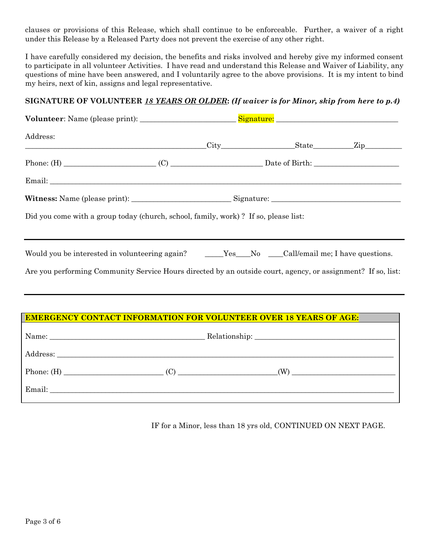clauses or provisions of this Release, which shall continue to be enforceable. Further, a waiver of a right under this Release by a Released Party does not prevent the exercise of any other right.

I have carefully considered my decision, the benefits and risks involved and hereby give my informed consent to participate in all volunteer Activities. I have read and understand this Release and Waiver of Liability, any questions of mine have been answered, and I voluntarily agree to the above provisions. It is my intent to bind my heirs, next of kin, assigns and legal representative.

# **SIGNATURE OF VOLUNTEER** *18 YEARS OR OLDER***:** *(If waiver is for Minor, skip from here to p.4)*

| Address:                                                                                                                                                                                                         |  |  |  |
|------------------------------------------------------------------------------------------------------------------------------------------------------------------------------------------------------------------|--|--|--|
|                                                                                                                                                                                                                  |  |  |  |
|                                                                                                                                                                                                                  |  |  |  |
|                                                                                                                                                                                                                  |  |  |  |
| Did you come with a group today (church, school, family, work)? If so, please list:                                                                                                                              |  |  |  |
| Would you be interested in volunteering again? _____Yes___No ___Call/email me; I have questions.<br>Are you performing Community Service Hours directed by an outside court, agency, or assignment? If so, list: |  |  |  |
| <b>EMERGENCY CONTACT INFORMATION FOR VOLUNTEER OVER 18 YEARS OF AGE:</b>                                                                                                                                         |  |  |  |
|                                                                                                                                                                                                                  |  |  |  |
|                                                                                                                                                                                                                  |  |  |  |
|                                                                                                                                                                                                                  |  |  |  |

Email: \_\_\_\_\_\_\_\_\_\_\_\_\_\_\_\_\_\_\_\_\_\_\_\_\_\_\_\_\_\_\_\_\_\_\_\_\_\_\_\_\_\_\_\_\_\_\_\_\_\_\_\_\_\_\_\_\_\_\_\_\_\_\_\_\_\_\_\_\_\_\_\_\_\_\_\_\_\_\_\_\_\_\_\_\_\_\_\_\_\_\_\_\_

IF for a Minor, less than 18 yrs old, CONTINUED ON NEXT PAGE.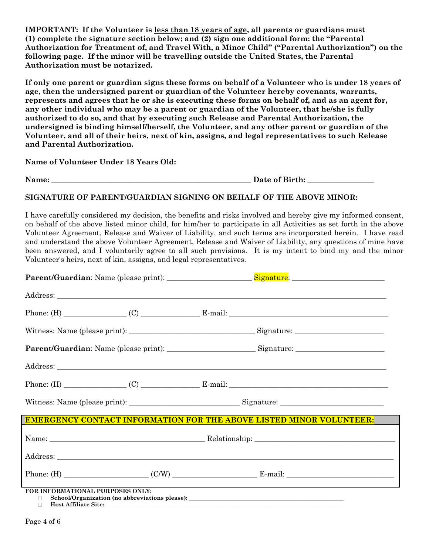**IMPORTANT: If the Volunteer is less than 18 years of age, all parents or guardians must (1) complete the signature section below; and (2) sign one additional form: the "Parental Authorization for Treatment of, and Travel With, a Minor Child" ("Parental Authorization") on the following page. If the minor will be travelling outside the United States, the Parental Authorization must be notarized.**

**If only one parent or guardian signs these forms on behalf of a Volunteer who is under 18 years of age, then the undersigned parent or guardian of the Volunteer hereby covenants, warrants, represents and agrees that he or she is executing these forms on behalf of, and as an agent for, any other individual who may be a parent or guardian of the Volunteer, that he/she is fully authorized to do so, and that by executing such Release and Parental Authorization, the undersigned is binding himself/herself, the Volunteer, and any other parent or guardian of the Volunteer, and all of their heirs, next of kin, assigns, and legal representatives to such Release and Parental Authorization.**

**Name of Volunteer Under 18 Years Old:**

Name: **Name:**  $\qquad \qquad$  Date of Birth:

# **SIGNATURE OF PARENT/GUARDIAN SIGNING ON BEHALF OF THE ABOVE MINOR:**

I have carefully considered my decision, the benefits and risks involved and hereby give my informed consent, on behalf of the above listed minor child, for him/her to participate in all Activities as set forth in the above Volunteer Agreement, Release and Waiver of Liability, and such terms are incorporated herein. I have read and understand the above Volunteer Agreement, Release and Waiver of Liability, any questions of mine have been answered, and I voluntarily agree to all such provisions. It is my intent to bind my and the minor Volunteer's heirs, next of kin, assigns, and legal representatives.

| <b>EMERGENCY CONTACT INFORMATION FOR THE ABOVE LISTED MINOR VOLUNTEER:</b>                                                  |  |  |  |  |
|-----------------------------------------------------------------------------------------------------------------------------|--|--|--|--|
|                                                                                                                             |  |  |  |  |
|                                                                                                                             |  |  |  |  |
|                                                                                                                             |  |  |  |  |
| FOR INFORMATIONAL PURPOSES ONLY:<br>School/Organization (no abbreviations please): __________________________________<br>П. |  |  |  |  |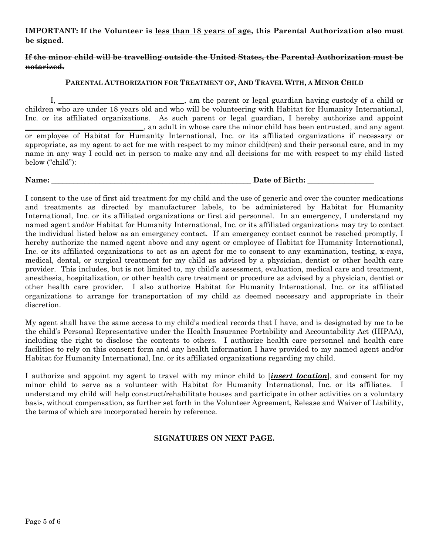# **IMPORTANT: If the Volunteer is less than 18 years of age, this Parental Authorization also must be signed.**

# **If the minor child will be travelling outside the United States, the Parental Authorization must be notarized.**

#### **PARENTAL AUTHORIZATION FOR TREATMENT OF, AND TRAVEL WITH, A MINOR CHILD**

I, \_\_\_\_\_\_\_\_\_\_\_\_\_\_\_\_\_\_\_\_\_\_\_\_\_\_\_\_\_\_\_\_\_\_, am the parent or legal guardian having custody of a child or children who are under 18 years old and who will be volunteering with Habitat for Humanity International, Inc. or its affiliated organizations. As such parent or legal guardian, I hereby authorize and appoint \_\_\_\_\_\_\_\_\_\_\_\_\_\_\_\_\_\_\_\_\_\_\_\_\_\_\_\_\_\_\_\_, an adult in whose care the minor child has been entrusted, and any agent or employee of Habitat for Humanity International, Inc. or its affiliated organizations if necessary or appropriate, as my agent to act for me with respect to my minor child(ren) and their personal care, and in my name in any way I could act in person to make any and all decisions for me with respect to my child listed below ("child"):

Name: **Name:**  $\qquad \qquad$  Date of Birth:

I consent to the use of first aid treatment for my child and the use of generic and over the counter medications and treatments as directed by manufacturer labels, to be administered by Habitat for Humanity International, Inc. or its affiliated organizations or first aid personnel. In an emergency, I understand my named agent and/or Habitat for Humanity International, Inc. or its affiliated organizations may try to contact the individual listed below as an emergency contact. If an emergency contact cannot be reached promptly, I hereby authorize the named agent above and any agent or employee of Habitat for Humanity International, Inc. or its affiliated organizations to act as an agent for me to consent to any examination, testing, x-rays, medical, dental, or surgical treatment for my child as advised by a physician, dentist or other health care provider. This includes, but is not limited to, my child's assessment, evaluation, medical care and treatment, anesthesia, hospitalization, or other health care treatment or procedure as advised by a physician, dentist or other health care provider. I also authorize Habitat for Humanity International, Inc. or its affiliated organizations to arrange for transportation of my child as deemed necessary and appropriate in their discretion.

My agent shall have the same access to my child's medical records that I have, and is designated by me to be the child's Personal Representative under the Health Insurance Portability and Accountability Act (HIPAA), including the right to disclose the contents to others. I authorize health care personnel and health care facilities to rely on this consent form and any health information I have provided to my named agent and/or Habitat for Humanity International, Inc. or its affiliated organizations regarding my child.

I authorize and appoint my agent to travel with my minor child to [*insert location*], and consent for my minor child to serve as a volunteer with Habitat for Humanity International, Inc. or its affiliates. I understand my child will help construct/rehabilitate houses and participate in other activities on a voluntary basis, without compensation, as further set forth in the Volunteer Agreement, Release and Waiver of Liability, the terms of which are incorporated herein by reference.

# **SIGNATURES ON NEXT PAGE.**